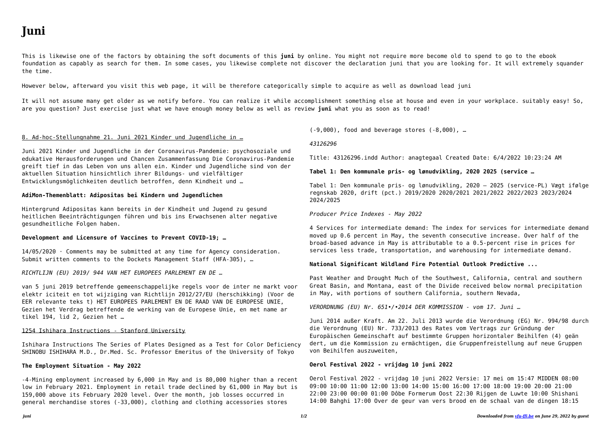This is likewise one of the factors by obtaining the soft documents of this **juni** by online. You might not require more become old to spend to go to the ebook foundation as capably as search for them. In some cases, you likewise complete not discover the declaration juni that you are looking for. It will extremely squander the time.

However below, afterward you visit this web page, it will be therefore categorically simple to acquire as well as download lead juni

It will not assume many get older as we notify before. You can realize it while accomplishment something else at house and even in your workplace. suitably easy! So, are you question? Just exercise just what we have enough money below as well as review **juni** what you as soon as to read!

### 8. Ad-hoc-Stellungnahme 21. Juni 2021 Kinder und Jugendliche in …

Juni 2021 Kinder und Jugendliche in der Coronavirus-Pandemie: psychosoziale und edukative Herausforderungen und Chancen Zusammenfassung Die Coronavirus-Pandemie greift tief in das Leben von uns allen ein. Kinder und Jugendliche sind von der aktuellen Situation hinsichtlich ihrer Bildungs- und vielfältiger Entwicklungsmöglichkeiten deutlich betroffen, denn Kindheit und …

## **AdiMon-Themenblatt: Adipositas bei Kindern und Jugendlichen**

Hintergrund Adipositas kann bereits in der Kindheit und Jugend zu gesund heitlichen Beeinträchtigungen führen und bis ins Erwachsenen alter negative gesundheitliche Folgen haben.

# **Development and Licensure of Vaccines to Prevent COVID-19; …**

14/05/2020 · Comments may be submitted at any time for Agency consideration. Submit written comments to the Dockets Management Staff (HFA-305), …

*RICHTLIJN (EU) 2019/ 944 VAN HET EUROPEES PARLEMENT EN DE …*

van 5 juni 2019 betreffende gemeenschappelijke regels voor de inter ne markt voor elektr iciteit en tot wijziging van Richtlijn 2012/27/EU (herschikking) (Voor de EER relevante teks t) HET EUROPEES PARLEMENT EN DE RAAD VAN DE EUROPESE UNIE, Gezien het Verdrag betreffende de werking van de Europese Unie, en met name ar tikel 194, lid 2, Gezien het …

#### 1254 Ishihara Instructions - Stanford University

Ishihara Instructions The Series of Plates Designed as a Test for Color Deficiency SHINOBU ISHIHARA M.D., Dr.Med. Sc. Professor Emeritus of the University of Tokyo

# **The Employment Situation - May 2022**

-4-Mining employment increased by 6,000 in May and is 80,000 higher than a recent low in February 2021. Employment in retail trade declined by 61,000 in May but is 159,000 above its February 2020 level. Over the month, job losses occurred in general merchandise stores (-33,000), clothing and clothing accessories stores

(-9,000), food and beverage stores (-8,000), …

#### *43126296*

Title: 43126296.indd Author: anagtegaal Created Date: 6/4/2022 10:23:24 AM

#### **Tabel 1: Den kommunale pris- og lønudvikling, 2020 2025 (service …**

Tabel 1: Den kommunale pris- og lønudvikling, 2020 – 2025 (service-PL) Vægt ifølge regnskab 2020, drift (pct.) 2019/2020 2020/2021 2021/2022 2022/2023 2023/2024 2024/2025

#### *Producer Price Indexes - May 2022*

4 Services for intermediate demand: The index for services for intermediate demand moved up 0.6 percent in May, the seventh consecutive increase. Over half of the broad-based advance in May is attributable to a 0.5-percent rise in prices for services less trade, transportation, and warehousing for intermediate demand.

# **National Significant Wildland Fire Potential Outlook Predictive ...**

Past Weather and Drought Much of the Southwest, California, central and southern Great Basin, and Montana, east of the Divide received below normal precipitation in May, with portions of southern California, southern Nevada,

*VERORDNUNG (EU) Nr. 651•/•2014 DER KOMMISSION - vom 17. Juni …*

Juni 2014 außer Kraft. Am 22. Juli 2013 wurde die Verordnung (EG) Nr. 994/98 durch die Verordnung (EU) Nr. 733/2013 des Rates vom Vertrags zur Gründung der Europäischen Gemeinschaft auf bestimmte Gruppen horizontaler Beihilfen (4) geän dert, um die Kommission zu ermächtigen, die Gruppenfreistellung auf neue Gruppen von Beihilfen auszuweiten,

## **Oerol Festival 2022 - vrijdag 10 juni 2022**

Oerol Festival 2022 - vrijdag 10 juni 2022 Versie: 17 mei om 15:47 MIDDEN 08:00 09:00 10:00 11:00 12:00 13:00 14:00 15:00 16:00 17:00 18:00 19:00 20:00 21:00 22:00 23:00 00:00 01:00 Dôbe Formerum Oost 22:30 Rijgen de Luwte 10:00 Shishani 14:00 Bahghi 17:00 Over de geur van vers brood en de schaal van de dingen 18:15